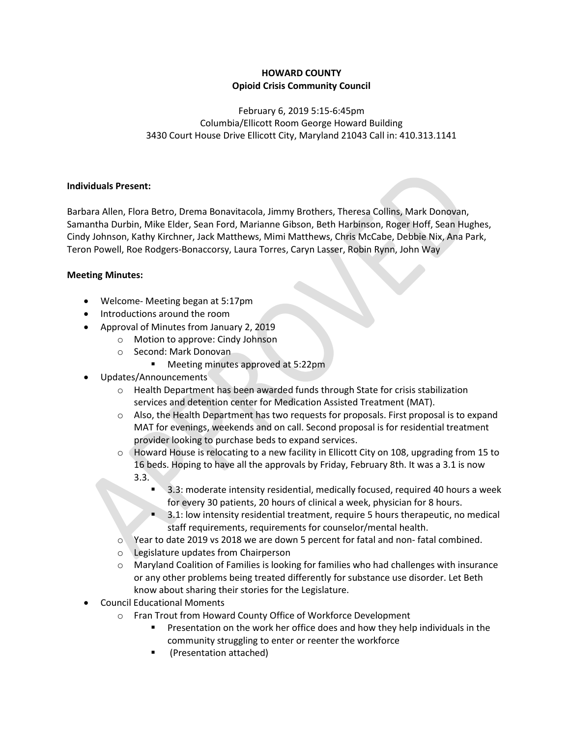## HOWARD COUNTY Opioid Crisis Community Council

February 6, 2019 5:15-6:45pm Columbia/Ellicott Room George Howard Building 3430 Court House Drive Ellicott City, Maryland 21043 Call in: 410.313.1141

## Individuals Present:

Barbara Allen, Flora Betro, Drema Bonavitacola, Jimmy Brothers, Theresa Collins, Mark Donovan, Samantha Durbin, Mike Elder, Sean Ford, Marianne Gibson, Beth Harbinson, Roger Hoff, Sean Hughes, Cindy Johnson, Kathy Kirchner, Jack Matthews, Mimi Matthews, Chris McCabe, Debbie Nix, Ana Park, Teron Powell, Roe Rodgers-Bonaccorsy, Laura Torres, Caryn Lasser, Robin Rynn, John Way

## Meeting Minutes:

- Welcome- Meeting began at 5:17pm
- Introductions around the room
- Approval of Minutes from January 2, 2019
	- o Motion to approve: Cindy Johnson
	- o Second: Mark Donovan
		- **Meeting minutes approved at 5:22pm**
- Updates/Announcements
	- $\circ$  Health Department has been awarded funds through State for crisis stabilization services and detention center for Medication Assisted Treatment (MAT).
	- $\circ$  Also, the Health Department has two requests for proposals. First proposal is to expand MAT for evenings, weekends and on call. Second proposal is for residential treatment provider looking to purchase beds to expand services.
	- $\circ$  Howard House is relocating to a new facility in Ellicott City on 108, upgrading from 15 to 16 beds. Hoping to have all the approvals by Friday, February 8th. It was a 3.1 is now 3.3.
		- 3.3: moderate intensity residential, medically focused, required 40 hours a week for every 30 patients, 20 hours of clinical a week, physician for 8 hours.
		- 3.1: low intensity residential treatment, require 5 hours therapeutic, no medical staff requirements, requirements for counselor/mental health.
	- o Year to date 2019 vs 2018 we are down 5 percent for fatal and non- fatal combined.
	- o Legislature updates from Chairperson
	- o Maryland Coalition of Families is looking for families who had challenges with insurance or any other problems being treated differently for substance use disorder. Let Beth know about sharing their stories for the Legislature.
- Council Educational Moments
	- o Fran Trout from Howard County Office of Workforce Development
		- Presentation on the work her office does and how they help individuals in the community struggling to enter or reenter the workforce
		- (Presentation attached)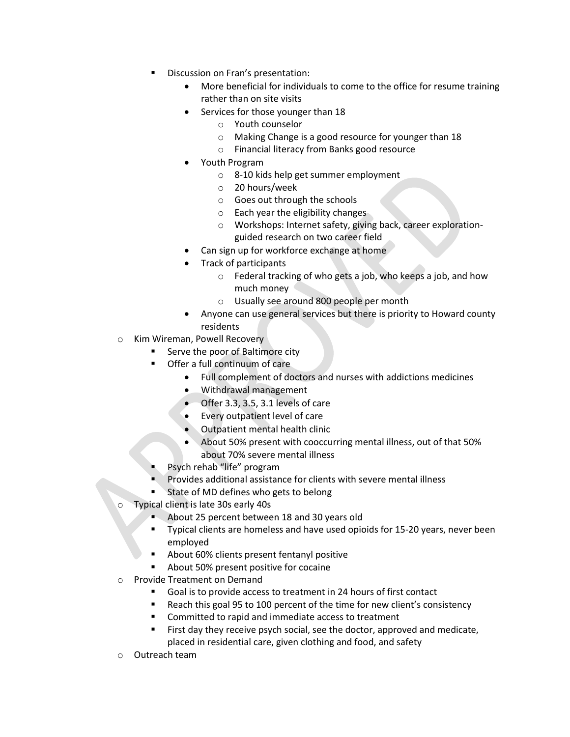- Discussion on Fran's presentation:
	- More beneficial for individuals to come to the office for resume training rather than on site visits
	- Services for those younger than 18
		- o Youth counselor
		- o Making Change is a good resource for younger than 18
		- o Financial literacy from Banks good resource
	- Youth Program
		- o 8-10 kids help get summer employment
		- o 20 hours/week
		- o Goes out through the schools
		- o Each year the eligibility changes
		- o Workshops: Internet safety, giving back, career explorationguided research on two career field
	- Can sign up for workforce exchange at home
	- Track of participants
		- o Federal tracking of who gets a job, who keeps a job, and how much money
		- o Usually see around 800 people per month
	- Anyone can use general services but there is priority to Howard county residents
- o Kim Wireman, Powell Recovery
	- Serve the poor of Baltimore city
	- Offer a full continuum of care
		- Full complement of doctors and nurses with addictions medicines
		- Withdrawal management
		- Offer 3.3, 3.5, 3.1 levels of care
		- Every outpatient level of care
		- Outpatient mental health clinic
		- About 50% present with cooccurring mental illness, out of that 50% about 70% severe mental illness
	- Psych rehab "life" program
	- Provides additional assistance for clients with severe mental illness
	- State of MD defines who gets to belong
- Typical client is late 30s early 40s
	- About 25 percent between 18 and 30 years old
	- Typical clients are homeless and have used opioids for 15-20 years, never been employed
	- About 60% clients present fentanyl positive
	- About 50% present positive for cocaine
- o Provide Treatment on Demand
	- Goal is to provide access to treatment in 24 hours of first contact
	- Reach this goal 95 to 100 percent of the time for new client's consistency
	- Committed to rapid and immediate access to treatment
	- First day they receive psych social, see the doctor, approved and medicate, placed in residential care, given clothing and food, and safety
- o Outreach team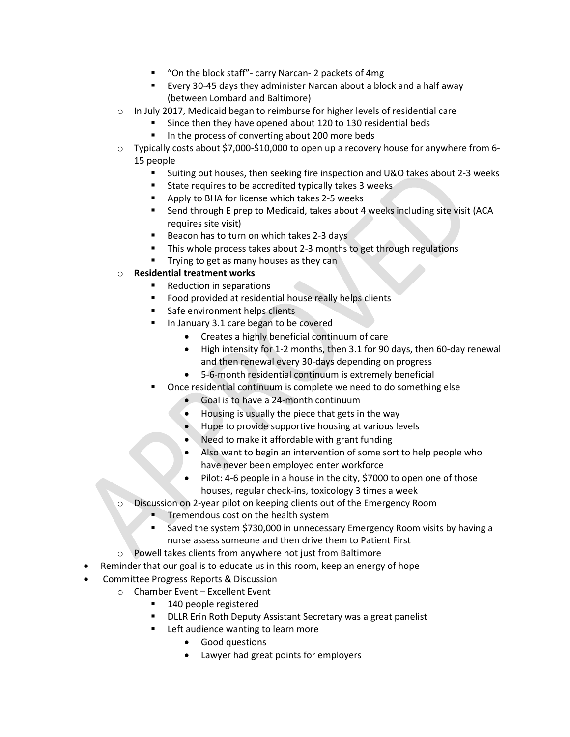- "On the block staff"- carry Narcan- 2 packets of 4mg
- Every 30-45 days they administer Narcan about a block and a half away (between Lombard and Baltimore)
- $\circ$  In July 2017, Medicaid began to reimburse for higher levels of residential care
	- Since then they have opened about 120 to 130 residential beds
	- In the process of converting about 200 more beds
- o Typically costs about \$7,000-\$10,000 to open up a recovery house for anywhere from 6- 15 people
	- Suiting out houses, then seeking fire inspection and U&O takes about 2-3 weeks
	- State requires to be accredited typically takes 3 weeks
	- **Apply to BHA for license which takes 2-5 weeks**
	- Send through E prep to Medicaid, takes about 4 weeks including site visit (ACA requires site visit)
	- Beacon has to turn on which takes 2-3 days
	- This whole process takes about 2-3 months to get through regulations
	- **Trying to get as many houses as they can**

## o Residential treatment works

- Reduction in separations
- **Food provided at residential house really helps clients**
- Safe environment helps clients
- In January 3.1 care began to be covered
	- Creates a highly beneficial continuum of care
	- High intensity for 1-2 months, then 3.1 for 90 days, then 60-day renewal and then renewal every 30-days depending on progress
	- 5-6-month residential continuum is extremely beneficial
- Once residential continuum is complete we need to do something else
	- Goal is to have a 24-month continuum
	- Housing is usually the piece that gets in the way
	- Hope to provide supportive housing at various levels
	- Need to make it affordable with grant funding
	- Also want to begin an intervention of some sort to help people who have never been employed enter workforce
	- Pilot: 4-6 people in a house in the city, \$7000 to open one of those houses, regular check-ins, toxicology 3 times a week
- Discussion on 2-year pilot on keeping clients out of the Emergency Room
	- Tremendous cost on the health system
	- Saved the system \$730,000 in unnecessary Emergency Room visits by having a nurse assess someone and then drive them to Patient First
- o Powell takes clients from anywhere not just from Baltimore
- Reminder that our goal is to educate us in this room, keep an energy of hope
- Committee Progress Reports & Discussion
	- $\circ$  Chamber Event Excellent Event
		- 140 people registered
		- **DLLR Erin Roth Deputy Assistant Secretary was a great panelist**
		- Left audience wanting to learn more
			- Good questions
			- Lawyer had great points for employers